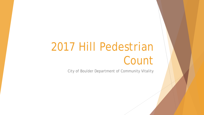# 2017 Hill Pedestrian Count

City of Boulder Department of Community Vitality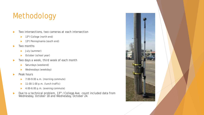## Methodology

- ▶ Two intersections, two cameras at each intersection
	- ▶ 13<sup>th</sup>/College (north end)
	- $\blacktriangleright$  13<sup>th</sup>/Pennsylvania (south end)
- **Two months** 
	- **July (summer)**
	- ▶ October (school year)
- ▶ Two days a week, third week of each month
	- Saturdays (weekend)
	- Wednesdays (weekday)
- $\blacktriangleright$  Peak hours
	- 7:00-9:00 a.m. (morning commute)
	- $\blacktriangleright$  11:00-1:00 p.m. (lunch traffic)
	- $\blacktriangleright$  4:00-6:00 p.m. (evening commute)
- Due to a technical problem,  $13<sup>th</sup>$  / College Ave. count included data from Wednesday, October 18 and Wednesday, October 24.

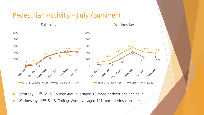#### Pedestrian Activity – July (Summer)



- Saturday: 13<sup>th</sup> St. & College Ave. averaged 13 more pedestrians per hour.
- Wednesday: 13<sup>th</sup> St. & College Ave. averaged 121 more pedestrians per hour.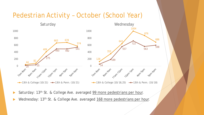#### Pedestrian Activity – October (School Year)



- Saturday: 13<sup>th</sup> St. & College Ave. averaged 99 more pedestrians per hour.
- Wednesday: 13<sup>th</sup> St. & College Ave. averaged 168 more pedestrians per hour.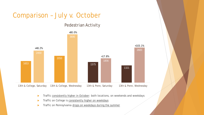### Comparison – July v. October

#### Pedestrian Activity



- Traffic consistently higher in October: both locations, on weekends and weekdays
- Traffic on College is consistently higher on weekdays
- Traffic on Pennsylvania drops on weekdays during the summer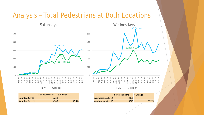#### Analysis – Total Pedestrians at Both Locations



Saturday, July 15 and the state of the state of the state of the state of the state of the state of the state

Saturday, Oct. 21 **4306** 33.4%

|                    | # of Pedestrians | % Change |
|--------------------|------------------|----------|
| Wednesday, July 19 | 3371             |          |
| Wednesday, Oct. 18 | 6643             | 97.1%    |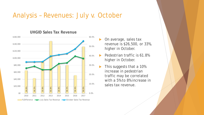#### Analysis – Revenues: July v. October



**UHGID Sales Tax Revenue**

- On average, sales tax revenue is \$26,500, or 33%, higher in October.
- Pedestrian traffic is 61.8% higher in October.
- This suggests that a 10% increase in pedestrian traffic *may* be correlated with a 5% to 8% increase in sales tax revenue.